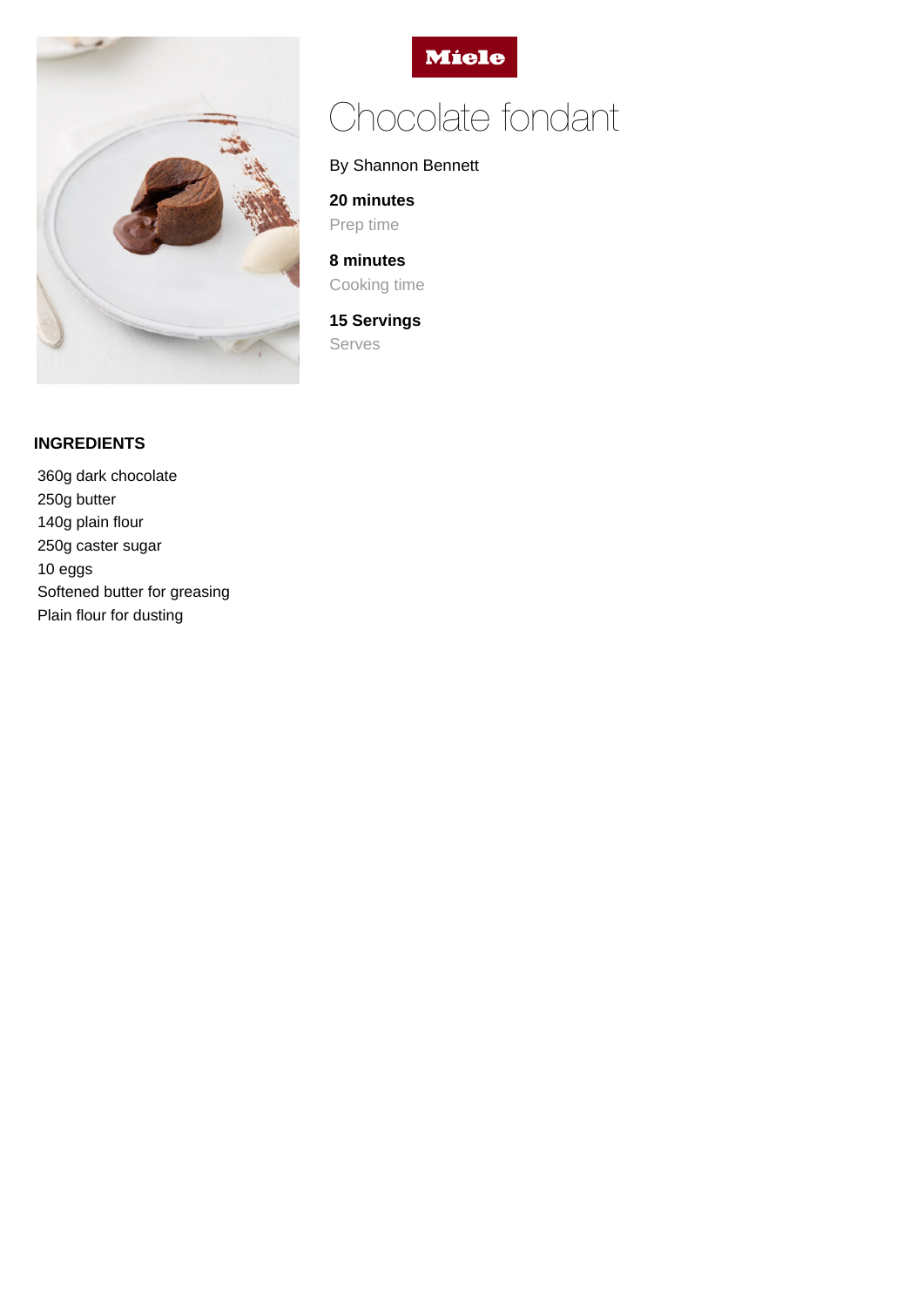



# Chocolate fondant

## By Shannon Bennett

**20 minutes**

Prep time

**8 minutes** Cooking time

**15 Servings** Serves

### **INGREDIENTS**

360g dark chocolate 250g butter 140g plain flour 250g caster sugar 10 eggs Softened butter for greasing Plain flour for dusting